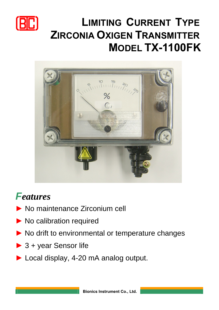

## **L IMITING CURRENT TYPE Z IRCONIA OXIGEN TRANSMITTER MODEL TX-1100FK**



## *Features*

- **►** No maintenance Zirconium cell
- **►** No calibration required
- **►** No drift to environmental or temperature changes
- **►** 3 + year Sensor life
- **►** Local display, 4-20 mA analog output.